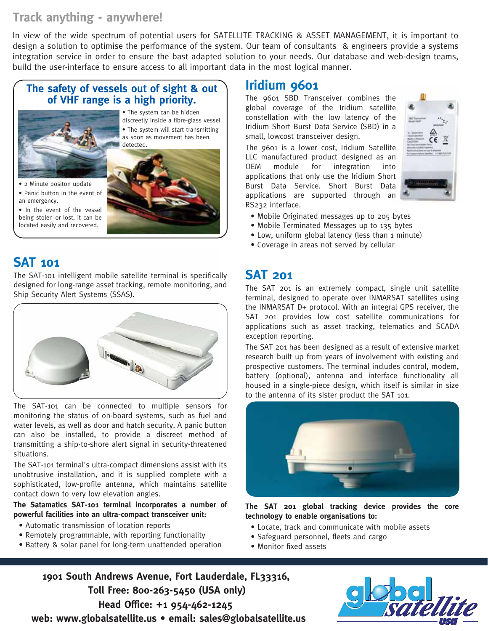#### **Track anything - anywhere!**

In view of the wide spectrum of potential users for SATELLITE TRACKING & ASSET MANAGEMENT, it is important to design a solution to optimise the performance of the system. Our team of consultants & engineers provide a systems integration service in order to ensure the bast adapted solution to your needs. Our database and web-design teams, build the user-interface to ensure access to all important data in the most logical manner.

#### **The safety of vessels out of sight & out of VHF range is a high priority.**



• The system can be hidden discreetly inside a fibre-glass vessel • The system will start transmitting as soon as movement has been detected.

• 2 Minute positon update • Panic button in the event of an emergency.

• In the event of the vessel being stolen or lost, it can be located easily and recovered.

### **SAT 101**

The SAT-101 intelligent mobile satellite terminal is specifically designed for long-range asset tracking, remote monitoring, and Ship Security Alert Systems (SSAS).



The SAT-101 can be connected to multiple sensors for monitoring the status of on-board systems, such as fuel and water levels, as well as door and hatch security. A panic button can also be installed, to provide a discreet method of transmitting a ship-to-shore alert signal in security-threatened situations.

The SAT-101 terminal's ultra-compact dimensions assist with its unobtrusive installation, and it is supplied complete with a sophisticated, low-profile antenna, which maintains satellite contact down to very low elevation angles.

#### **The Satamatics SAT-101 terminal incorporates a number of powerful facilities into an ultra-compact transceiver unit:**

- Automatic transmission of location reports
- Remotely programmable, with reporting functionality
- Battery & solar panel for long-term unattended operation

#### **Iridium 9601**

The 9601 SBD Transceiver combines the global coverage of the Iridium satellite constellation with the low latency of the Iridium Short Burst Data Service (SBD) in a small, lowcost transceiver design.

The 9601 is a lower cost, Iridium Satellite LLC manufactured product designed as an OEM module for integration into applications that only use the Iridium Short Burst Data Service. Short Burst Data applications are supported through an RS232 interface.



- Mobile Originated messages up to 205 bytes
- Mobile Terminated Messages up to 135 bytes
- Low, uniform global latency (less than 1 minute)
- Coverage in areas not served by cellular

#### **SAT 201**

The SAT 201 is an extremely compact, single unit satellite terminal, designed to operate over INMARSAT satellites using the INMARSAT D+ protocol. With an integral GPS receiver, the SAT 201 provides low cost satellite communications for applications such as asset tracking, telematics and SCADA exception reporting.

The SAT 201 has been designed as a result of extensive market research built up from years of involvement with existing and prospective customers. The terminal includes control, modem, battery (optional), antenna and interface functionality all housed in a single-piece design, which itself is similar in size to the antenna of its sister product the SAT 101.



**The SAT 201 global tracking device provides the core technology to enable organisations to:**

- Locate, track and communicate with mobile assets
- Safeguard personnel, fleets and cargo
- Monitor fixed assets

**1901 South Andrews Avenue, Fort Lauderdale, FL33316, Toll Free: 800-263-5450 (USA only) Head Office: +1 954-462-1245 web: www.globalsatellite.us • email: sales@globalsatellite.us**